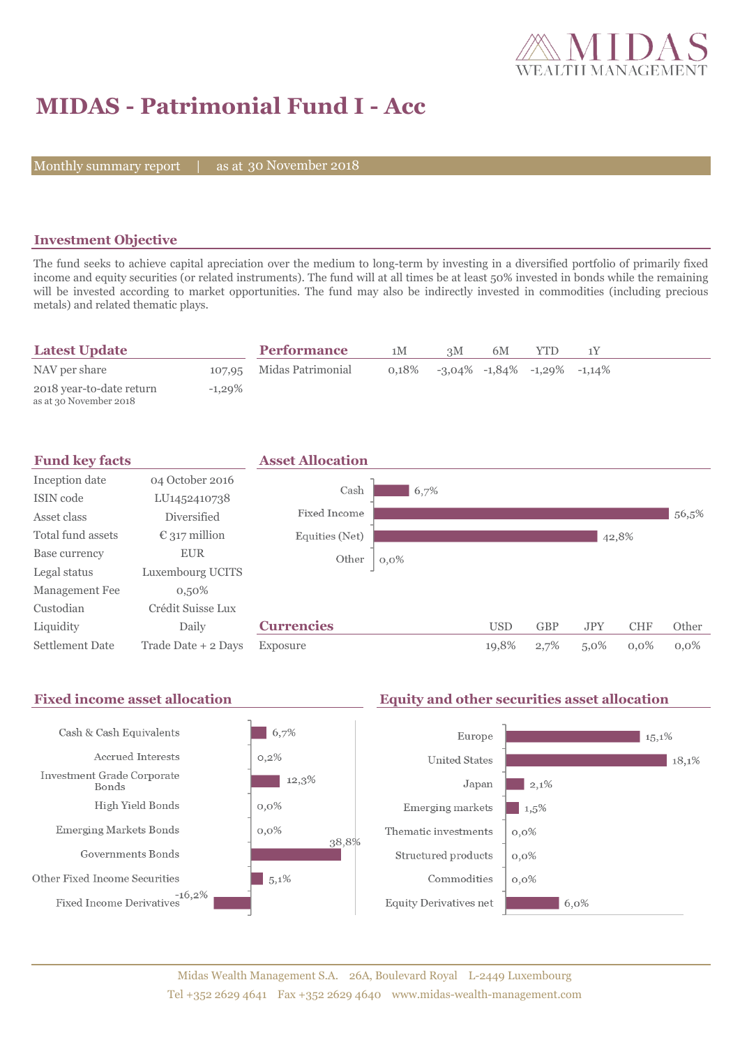

# **MIDAS - Patrimonial Fund I - Acc**

Monthly summary report | as at 30 November 2018

#### **Investment Objective**

The fund seeks to achieve capital apreciation over the medium to long-term by investing in a diversified portfolio of primarily fixed income and equity securities (or related instruments). The fund will at all times be at least 50% invested in bonds while the remaining will be invested according to market opportunities. The fund may also be indirectly invested in commodities (including precious metals) and related thematic plays.

| <b>Latest Update</b>                               |           | <b>Performance</b>       | 1M    | 3M | 6M | YTD                                     |  |
|----------------------------------------------------|-----------|--------------------------|-------|----|----|-----------------------------------------|--|
| NAV per share                                      |           | 107,95 Midas Patrimonial | 0.18% |    |    | $-3.04\%$ $-1.84\%$ $-1.29\%$ $-1.14\%$ |  |
| 2018 year-to-date return<br>as at 30 November 2018 | $-1,29\%$ |                          |       |    |    |                                         |  |

| <b>Fund key facts</b>  |                        | <b>Asset Allocation</b> |         |            |            |            |            |         |
|------------------------|------------------------|-------------------------|---------|------------|------------|------------|------------|---------|
| Inception date         | 04 October 2016        | Cash                    |         |            |            |            |            |         |
| ISIN code              | LU1452410738           |                         | 6,7%    |            |            |            |            |         |
| Asset class            | <b>Diversified</b>     | Fixed Income            |         |            |            |            |            | 56,5%   |
| Total fund assets      | $\epsilon$ 317 million | Equities (Net)          |         |            |            |            | 42,8%      |         |
| Base currency          | <b>EUR</b>             | Other                   | $0,0\%$ |            |            |            |            |         |
| Legal status           | Luxembourg UCITS       |                         |         |            |            |            |            |         |
| Management Fee         | $0,50\%$               |                         |         |            |            |            |            |         |
| Custodian              | Crédit Suisse Lux      |                         |         |            |            |            |            |         |
| Liquidity              | Daily                  | <b>Currencies</b>       |         | <b>USD</b> | <b>GBP</b> | <b>JPY</b> | <b>CHF</b> | Other   |
| <b>Settlement Date</b> | Trade Date + 2 Days    | Exposure                |         | 19,8%      | 2,7%       | $5,0\%$    | $0.0\%$    | $0.0\%$ |

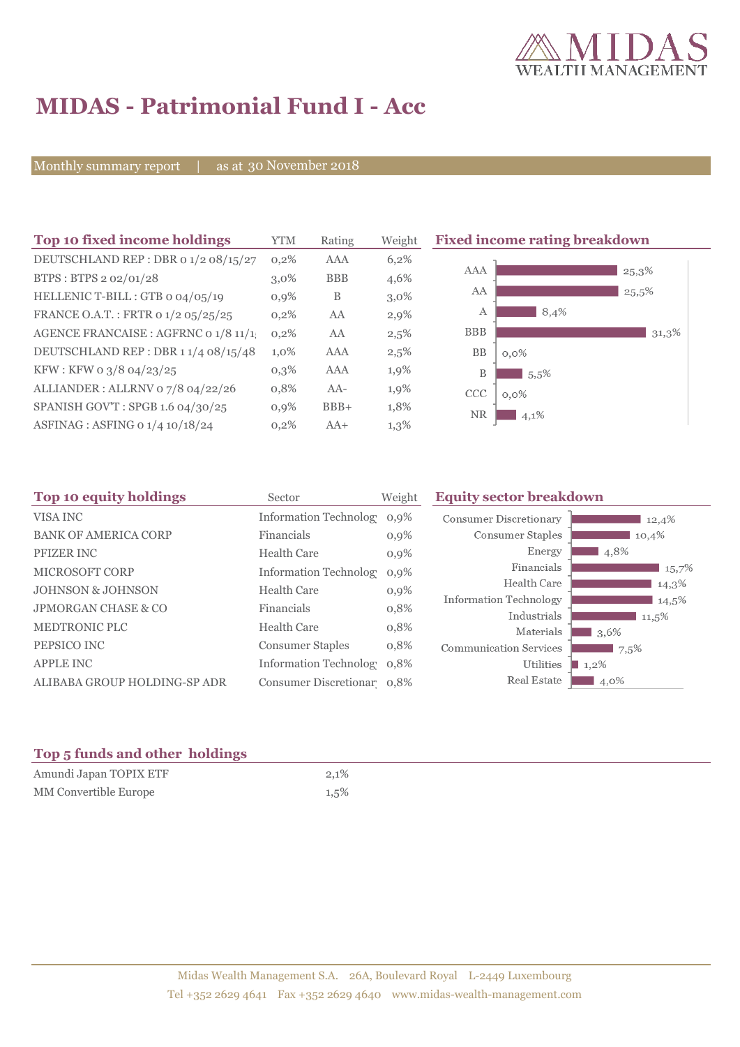

# **MIDAS - Patrimonial Fund I - Acc**

Monthly summary report | as at 30 November 2018

| Top 10 fixed income holdings          | <b>YTM</b> | Rating     | Weight  | <b>Fixed income rating breakdown</b> |
|---------------------------------------|------------|------------|---------|--------------------------------------|
| DEUTSCHLAND REP : DBR 0 1/2 08/15/27  | $0,2\%$    | AAA        | 6,2%    |                                      |
| BTPS: BTPS 2 02/01/28                 | $3.0\%$    | <b>BBB</b> | 4,6%    | AAA<br>25,3%                         |
| HELLENIC T-BILL : GTB 0 04/05/19      | $0,9\%$    | B          | $3,0\%$ | AA<br>25,5%                          |
| FRANCE O.A.T.: FRTR 0 1/2 05/25/25    | 0,2%       | AA         | 2,9%    | 8,4%<br>А                            |
| AGENCE FRANCAISE : AGFRNC 0 1/8 11/1! | 0,2%       | AA         | $2,5\%$ | <b>BBB</b><br>31,3%                  |
| DEUTSCHLAND REP: DBR 1 1/4 08/15/48   | $1,0\%$    | AAA        | 2,5%    | BB<br>$0,0\%$                        |
| KFW : KFW 0 3/8 04/23/25              | $0,3\%$    | AAA        | 1,9%    | B<br>5.5%                            |
| ALLIANDER: ALLRNV 07/8 04/22/26       | 0,8%       | $AA-$      | 1,9%    | <b>CCC</b><br>$0,0\%$                |
| SPANISH GOV'T: SPGB 1.6 04/30/25      | $0,9\%$    | $BBB+$     | 1,8%    | <b>NR</b><br>4,1%                    |
| ASFINAG : ASFING 0 1/4 10/18/24       | $0,2\%$    | $AA+$      | $1,3\%$ |                                      |

| Top 10 equity holdings         | Sector                        | Weight  | <b>Equity sector breakdown</b> |                   |
|--------------------------------|-------------------------------|---------|--------------------------------|-------------------|
| VISA INC                       | <b>Information Technology</b> | $0,9\%$ | <b>Consumer Discretionary</b>  | 12,4%             |
| <b>BANK OF AMERICA CORP</b>    | Financials                    | $0,9\%$ | Consumer Staples               | 10,4%             |
| PFIZER INC                     | <b>Health Care</b>            | $0,9\%$ | Energy                         | 4,8%              |
| <b>MICROSOFT CORP</b>          | <b>Information Technology</b> | 0.9%    | Financials                     | 15,7%             |
| <b>JOHNSON &amp; JOHNSON</b>   | <b>Health Care</b>            | $0,9\%$ | Health Care                    | 14,3%             |
| <b>JPMORGAN CHASE &amp; CO</b> | Financials                    | 0,8%    | Information Technology         | 14,5%             |
| <b>MEDTRONIC PLC</b>           | <b>Health Care</b>            |         | Industrials                    | 11,5%             |
|                                |                               | 0,8%    | Materials                      | $\mathbf{1}3,6\%$ |
| PEPSICO INC                    | <b>Consumer Staples</b>       | 0,8%    | <b>Communication Services</b>  | 7,5%              |
| <b>APPLE INC</b>               | Information Technolog 0,8%    |         | Utilities                      | $1,2\%$           |
| ALIBABA GROUP HOLDING-SP ADR   | Consumer Discretionar 0,8%    |         | Real Estate                    | 4,0%              |

### **Top 5 funds and other holdings**

| Amundi Japan TOPIX ETF | 2,1%    |
|------------------------|---------|
| MM Convertible Europe  | $1,5\%$ |